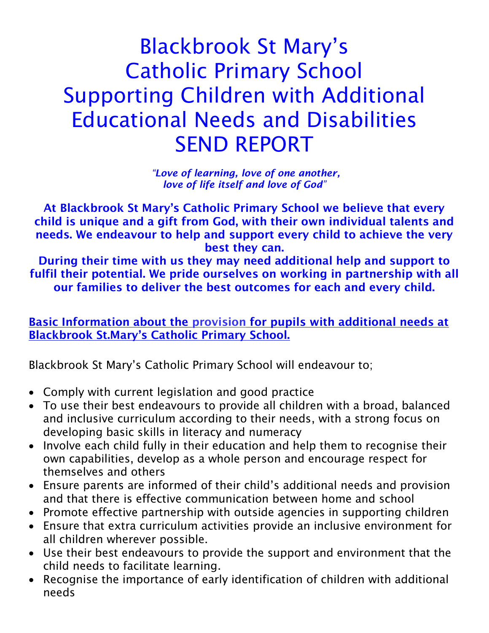# Blackbrook St Mary's Catholic Primary School Supporting Children with Additional Educational Needs and Disabilities SEND REPORT

*"Love of learning, love of one another, love of life itself and love of God"*

**At Blackbrook St Mary's Catholic Primary School we believe that every child is unique and a gift from God, with their own individual talents and needs. We endeavour to help and support every child to achieve the very best they can.**

**During their time with us they may need additional help and support to fulfil their potential. We pride ourselves on working in partnership with all our families to deliver the best outcomes for each and every child.**

**Basic Information about the provision for pupils with additional needs at Blackbrook St.Mary's Catholic Primary School.**

Blackbrook St Mary's Catholic Primary School will endeavour to;

- Comply with current legislation and good practice
- To use their best endeavours to provide all children with a broad, balanced and inclusive curriculum according to their needs, with a strong focus on developing basic skills in literacy and numeracy
- Involve each child fully in their education and help them to recognise their own capabilities, develop as a whole person and encourage respect for themselves and others
- Ensure parents are informed of their child's additional needs and provision and that there is effective communication between home and school
- Promote effective partnership with outside agencies in supporting children
- Ensure that extra curriculum activities provide an inclusive environment for all children wherever possible.
- Use their best endeavours to provide the support and environment that the child needs to facilitate learning.
- Recognise the importance of early identification of children with additional needs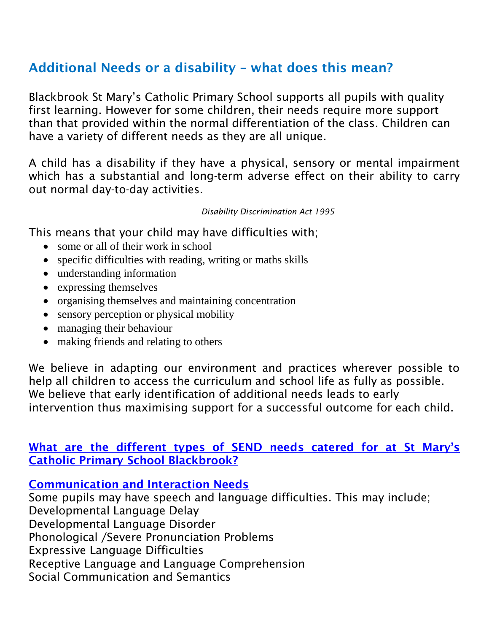## **Additional Needs or a disability – what does this mean?**

Blackbrook St Mary's Catholic Primary School supports all pupils with quality first learning. However for some children, their needs require more support than that provided within the normal differentiation of the class. Children can have a variety of different needs as they are all unique.

A child has a disability if they have a physical, sensory or mental impairment which has a substantial and long-term adverse effect on their ability to carry out normal day-to-day activities.

*Disability Discrimination Act 1995*

This means that your child may have difficulties with;

- some or all of their work in school
- specific difficulties with reading, writing or maths skills
- understanding information
- expressing themselves
- organising themselves and maintaining concentration
- sensory perception or physical mobility
- managing their behaviour
- making friends and relating to others

We believe in adapting our environment and practices wherever possible to help all children to access the curriculum and school life as fully as possible. We believe that early identification of additional needs leads to early intervention thus maximising support for a successful outcome for each child.

**What are the different types of SEND needs catered for at St Mary's Catholic Primary School Blackbrook?**

**Communication and Interaction Needs**

Some pupils may have speech and language difficulties. This may include; Developmental Language Delay Developmental Language Disorder Phonological /Severe Pronunciation Problems Expressive Language Difficulties Receptive Language and Language Comprehension Social Communication and Semantics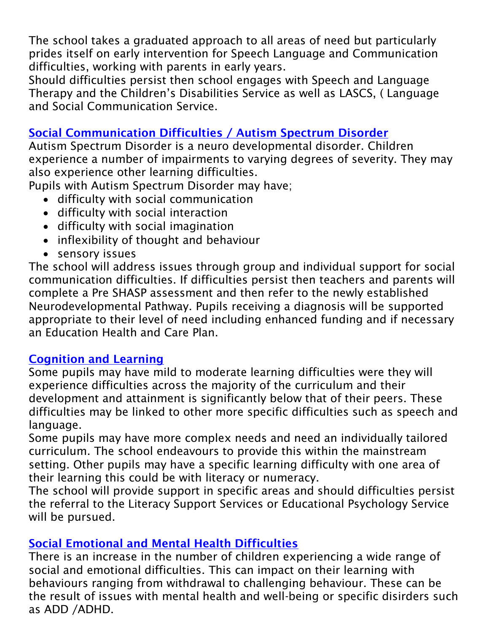The school takes a graduated approach to all areas of need but particularly prides itself on early intervention for Speech Language and Communication difficulties, working with parents in early years.

Should difficulties persist then school engages with Speech and Language Therapy and the Children's Disabilities Service as well as LASCS, ( Language and Social Communication Service.

## **Social Communication Difficulties / Autism Spectrum Disorder**

Autism Spectrum Disorder is a neuro developmental disorder. Children experience a number of impairments to varying degrees of severity. They may also experience other learning difficulties.

Pupils with Autism Spectrum Disorder may have;

- difficulty with social communication
- difficulty with social interaction
- difficulty with social imagination
- inflexibility of thought and behaviour
- sensory issues

The school will address issues through group and individual support for social communication difficulties. If difficulties persist then teachers and parents will complete a Pre SHASP assessment and then refer to the newly established Neurodevelopmental Pathway. Pupils receiving a diagnosis will be supported appropriate to their level of need including enhanced funding and if necessary an Education Health and Care Plan.

## **Cognition and Learning**

Some pupils may have mild to moderate learning difficulties were they will experience difficulties across the majority of the curriculum and their development and attainment is significantly below that of their peers. These difficulties may be linked to other more specific difficulties such as speech and language.

Some pupils may have more complex needs and need an individually tailored curriculum. The school endeavours to provide this within the mainstream setting. Other pupils may have a specific learning difficulty with one area of their learning this could be with literacy or numeracy.

The school will provide support in specific areas and should difficulties persist the referral to the Literacy Support Services or Educational Psychology Service will be pursued.

## **Social Emotional and Mental Health Difficulties**

There is an increase in the number of children experiencing a wide range of social and emotional difficulties. This can impact on their learning with behaviours ranging from withdrawal to challenging behaviour. These can be the result of issues with mental health and well-being or specific disirders such as ADD /ADHD.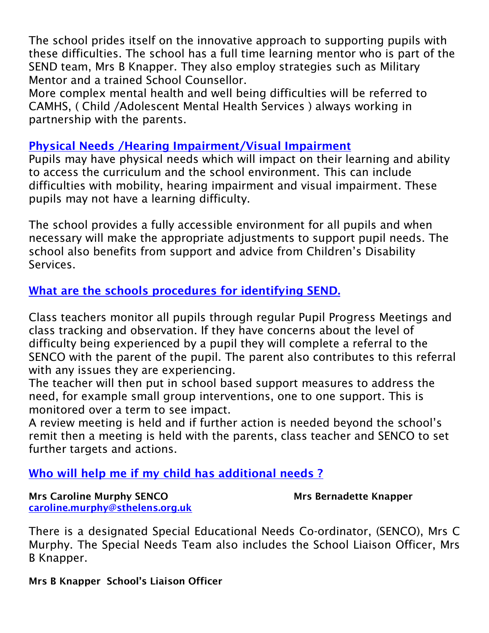The school prides itself on the innovative approach to supporting pupils with these difficulties. The school has a full time learning mentor who is part of the SEND team, Mrs B Knapper. They also employ strategies such as Military Mentor and a trained School Counsellor.

More complex mental health and well being difficulties will be referred to CAMHS, ( Child /Adolescent Mental Health Services ) always working in partnership with the parents.

#### **Physical Needs /Hearing Impairment/Visual Impairment**

Pupils may have physical needs which will impact on their learning and ability to access the curriculum and the school environment. This can include difficulties with mobility, hearing impairment and visual impairment. These pupils may not have a learning difficulty.

The school provides a fully accessible environment for all pupils and when necessary will make the appropriate adjustments to support pupil needs. The school also benefits from support and advice from Children's Disability Services.

## **What are the schools procedures for identifying SEND.**

Class teachers monitor all pupils through regular Pupil Progress Meetings and class tracking and observation. If they have concerns about the level of difficulty being experienced by a pupil they will complete a referral to the SENCO with the parent of the pupil. The parent also contributes to this referral with any issues they are experiencing.

The teacher will then put in school based support measures to address the need, for example small group interventions, one to one support. This is monitored over a term to see impact.

A review meeting is held and if further action is needed beyond the school's remit then a meeting is held with the parents, class teacher and SENCO to set further targets and actions.

### **Who will help me if my child has additional needs ?**

**Mrs Caroline Murphy SENCO** Mrs Bernadette Knapper **[caroline.murphy@sthelens.org.uk](mailto:caroline.murphy@sthelens.org.uk)**

There is a designated Special Educational Needs Co-ordinator, (SENCO), Mrs C Murphy. The Special Needs Team also includes the School Liaison Officer, Mrs B Knapper.

**Mrs B Knapper School's Liaison Officer**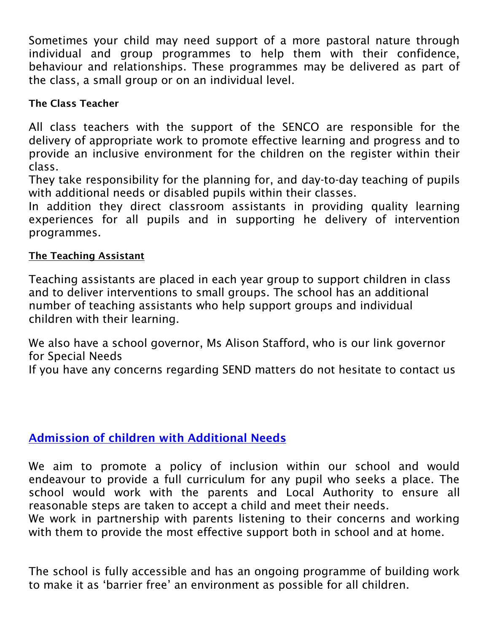Sometimes your child may need support of a more pastoral nature through individual and group programmes to help them with their confidence, behaviour and relationships. These programmes may be delivered as part of the class, a small group or on an individual level.

## **The Class Teacher**

All class teachers with the support of the SENCO are responsible for the delivery of appropriate work to promote effective learning and progress and to provide an inclusive environment for the children on the register within their class.

They take responsibility for the planning for, and day-to-day teaching of pupils with additional needs or disabled pupils within their classes.

In addition they direct classroom assistants in providing quality learning experiences for all pupils and in supporting he delivery of intervention programmes.

## **The Teaching Assistant**

Teaching assistants are placed in each year group to support children in class and to deliver interventions to small groups. The school has an additional number of teaching assistants who help support groups and individual children with their learning.

We also have a school governor, Ms Alison Stafford, who is our link governor for Special Needs

If you have any concerns regarding SEND matters do not hesitate to contact us

## **Admission of children with Additional Needs**

We aim to promote a policy of inclusion within our school and would endeavour to provide a full curriculum for any pupil who seeks a place. The school would work with the parents and Local Authority to ensure all reasonable steps are taken to accept a child and meet their needs.

We work in partnership with parents listening to their concerns and working with them to provide the most effective support both in school and at home.

The school is fully accessible and has an ongoing programme of building work to make it as 'barrier free' an environment as possible for all children.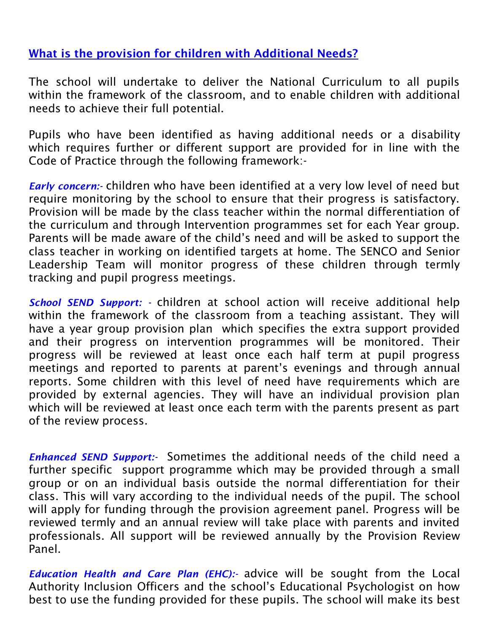## **What is the provision for children with Additional Needs?**

The school will undertake to deliver the National Curriculum to all pupils within the framework of the classroom, and to enable children with additional needs to achieve their full potential.

Pupils who have been identified as having additional needs or a disability which requires further or different support are provided for in line with the Code of Practice through the following framework:-

*Early concern:-* children who have been identified at a very low level of need but require monitoring by the school to ensure that their progress is satisfactory. Provision will be made by the class teacher within the normal differentiation of the curriculum and through Intervention programmes set for each Year group. Parents will be made aware of the child's need and will be asked to support the class teacher in working on identified targets at home. The SENCO and Senior Leadership Team will monitor progress of these children through termly tracking and pupil progress meetings.

*School SEND Support: -* children at school action will receive additional help within the framework of the classroom from a teaching assistant. They will have a year group provision plan which specifies the extra support provided and their progress on intervention programmes will be monitored. Their progress will be reviewed at least once each half term at pupil progress meetings and reported to parents at parent's evenings and through annual reports. Some children with this level of need have requirements which are provided by external agencies. They will have an individual provision plan which will be reviewed at least once each term with the parents present as part of the review process.

*Enhanced SEND Support:-* Sometimes the additional needs of the child need a further specific support programme which may be provided through a small group or on an individual basis outside the normal differentiation for their class. This will vary according to the individual needs of the pupil. The school will apply for funding through the provision agreement panel. Progress will be reviewed termly and an annual review will take place with parents and invited professionals. All support will be reviewed annually by the Provision Review Panel.

*Education Health and Care Plan (EHC):* advice will be sought from the Local Authority Inclusion Officers and the school's Educational Psychologist on how best to use the funding provided for these pupils. The school will make its best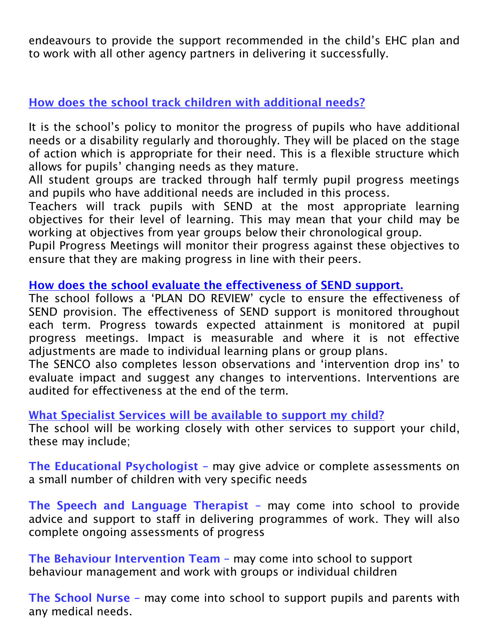endeavours to provide the support recommended in the child's EHC plan and to work with all other agency partners in delivering it successfully.

## **How does the school track children with additional needs?**

It is the school's policy to monitor the progress of pupils who have additional needs or a disability regularly and thoroughly. They will be placed on the stage of action which is appropriate for their need. This is a flexible structure which allows for pupils' changing needs as they mature.

All student groups are tracked through half termly pupil progress meetings and pupils who have additional needs are included in this process.

Teachers will track pupils with SEND at the most appropriate learning objectives for their level of learning. This may mean that your child may be working at objectives from year groups below their chronological group.

Pupil Progress Meetings will monitor their progress against these objectives to ensure that they are making progress in line with their peers.

## **How does the school evaluate the effectiveness of SEND support.**

The school follows a 'PLAN DO REVIEW' cycle to ensure the effectiveness of SEND provision. The effectiveness of SEND support is monitored throughout each term. Progress towards expected attainment is monitored at pupil progress meetings. Impact is measurable and where it is not effective adjustments are made to individual learning plans or group plans.

The SENCO also completes lesson observations and 'intervention drop ins' to evaluate impact and suggest any changes to interventions. Interventions are audited for effectiveness at the end of the term.

### **What Specialist Services will be available to support my child?**

The school will be working closely with other services to support your child, these may include;

**The Educational Psychologist –** may give advice or complete assessments on a small number of children with very specific needs

**The Speech and Language Therapist –** may come into school to provide advice and support to staff in delivering programmes of work. They will also complete ongoing assessments of progress

**The Behaviour Intervention Team –** may come into school to support behaviour management and work with groups or individual children

**The School Nurse –** may come into school to support pupils and parents with any medical needs.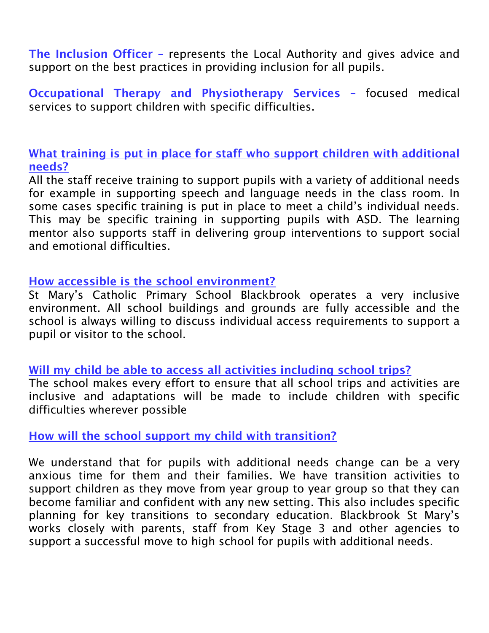**The Inclusion Officer –** represents the Local Authority and gives advice and support on the best practices in providing inclusion for all pupils.

**Occupational Therapy and Physiotherapy Services –** focused medical services to support children with specific difficulties.

**What training is put in place for staff who support children with additional needs?**

All the staff receive training to support pupils with a variety of additional needs for example in supporting speech and language needs in the class room. In some cases specific training is put in place to meet a child's individual needs. This may be specific training in supporting pupils with ASD. The learning mentor also supports staff in delivering group interventions to support social and emotional difficulties.

#### **How accessible is the school environment?**

St Mary's Catholic Primary School Blackbrook operates a very inclusive environment. All school buildings and grounds are fully accessible and the school is always willing to discuss individual access requirements to support a pupil or visitor to the school.

### **Will my child be able to access all activities including school trips?**

The school makes every effort to ensure that all school trips and activities are inclusive and adaptations will be made to include children with specific difficulties wherever possible

### **How will the school support my child with transition?**

We understand that for pupils with additional needs change can be a very anxious time for them and their families. We have transition activities to support children as they move from year group to year group so that they can become familiar and confident with any new setting. This also includes specific planning for key transitions to secondary education. Blackbrook St Mary's works closely with parents, staff from Key Stage 3 and other agencies to support a successful move to high school for pupils with additional needs.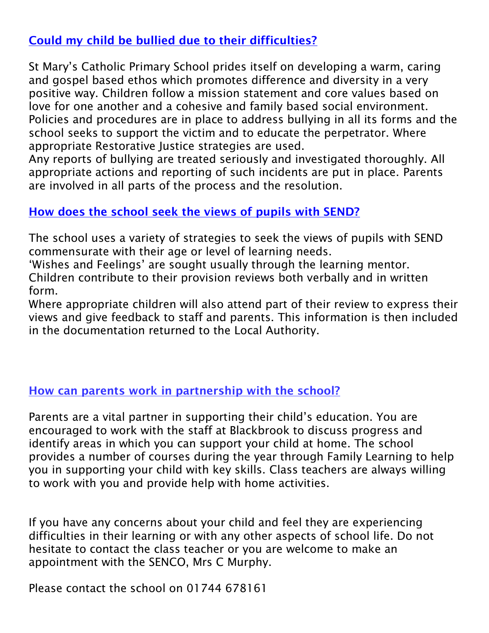## **Could my child be bullied due to their difficulties?**

St Mary's Catholic Primary School prides itself on developing a warm, caring and gospel based ethos which promotes difference and diversity in a very positive way. Children follow a mission statement and core values based on love for one another and a cohesive and family based social environment. Policies and procedures are in place to address bullying in all its forms and the school seeks to support the victim and to educate the perpetrator. Where appropriate Restorative Justice strategies are used.

Any reports of bullying are treated seriously and investigated thoroughly. All appropriate actions and reporting of such incidents are put in place. Parents are involved in all parts of the process and the resolution.

### **How does the school seek the views of pupils with SEND?**

The school uses a variety of strategies to seek the views of pupils with SEND commensurate with their age or level of learning needs.

'Wishes and Feelings' are sought usually through the learning mentor. Children contribute to their provision reviews both verbally and in written form.

Where appropriate children will also attend part of their review to express their views and give feedback to staff and parents. This information is then included in the documentation returned to the Local Authority.

### **How can parents work in partnership with the school?**

Parents are a vital partner in supporting their child's education. You are encouraged to work with the staff at Blackbrook to discuss progress and identify areas in which you can support your child at home. The school provides a number of courses during the year through Family Learning to help you in supporting your child with key skills. Class teachers are always willing to work with you and provide help with home activities.

If you have any concerns about your child and feel they are experiencing difficulties in their learning or with any other aspects of school life. Do not hesitate to contact the class teacher or you are welcome to make an appointment with the SENCO, Mrs C Murphy.

Please contact the school on 01744 678161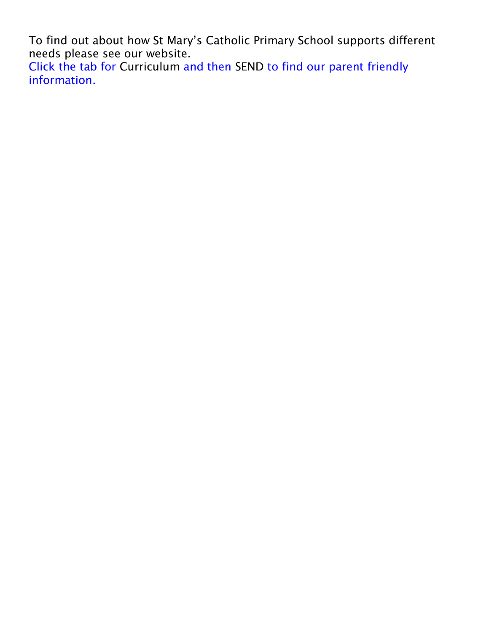To find out about how St Mary's Catholic Primary School supports different needs please see our website.

Click the tab for Curriculum and then SEND to find our parent friendly information.